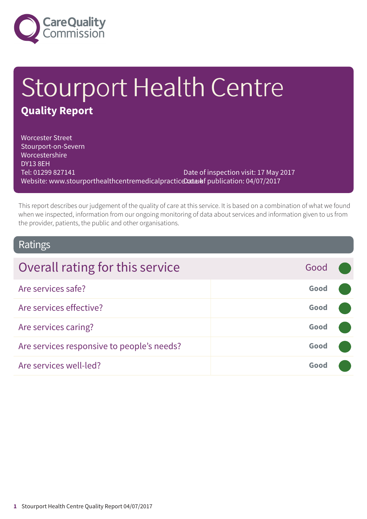

# Stourport Health Centre **Quality Report**

Worcester Street Stourport-on-Severn Worcestershire DY13 8EH Tel: 01299 827141 Website: www.stourporthealthcentremedicalpracticeDataIaf publication: 04/07/2017 Date of inspection visit: 17 May 2017

This report describes our judgement of the quality of care at this service. It is based on a combination of what we found when we inspected, information from our ongoing monitoring of data about services and information given to us from the provider, patients, the public and other organisations.

### Ratings

| Overall rating for this service            | Good |  |
|--------------------------------------------|------|--|
| Are services safe?                         | Good |  |
| Are services effective?                    | Good |  |
| Are services caring?                       | Good |  |
| Are services responsive to people's needs? | Good |  |
| Are services well-led?                     | Good |  |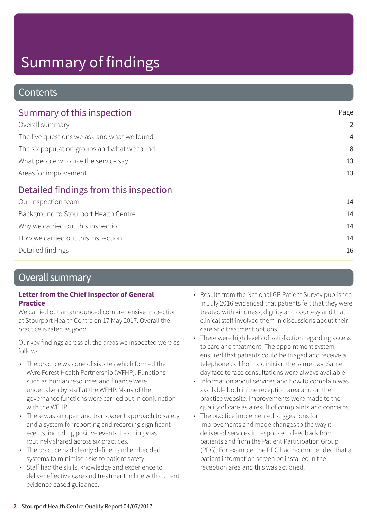### **Contents**

| Summary of this inspection                  | Page           |  |
|---------------------------------------------|----------------|--|
| Overall summary                             | $\overline{2}$ |  |
| The five questions we ask and what we found | $\overline{4}$ |  |
| The six population groups and what we found | 8              |  |
| What people who use the service say         | 13             |  |
| Areas for improvement                       | 13             |  |
| Detailed findings from this inspection      |                |  |
| Our inspection team                         | 14             |  |
| Background to Stourport Health Centre       | 14             |  |
| Why we carried out this inspection          | 14             |  |
| How we carried out this inspection          | 14             |  |
| Detailed findings                           | 16             |  |

### Overall summary

#### **Letter from the Chief Inspector of General Practice**

We carried out an announced comprehensive inspection at Stourport Health Centre on 17 May 2017. Overall the practice is rated as good.

Our key findings across all the areas we inspected were as follows:

- The practice was one of six sites which formed the Wyre Forest Health Partnership (WFHP). Functions such as human resources and finance were undertaken by staff at the WFHP. Many of the governance functions were carried out in conjunction with the WFHP.
- There was an open and transparent approach to safety and a system for reporting and recording significant events, including positive events. Learning was routinely shared across six practices.
- The practice had clearly defined and embedded systems to minimise risks to patient safety.
- Staff had the skills, knowledge and experience to deliver effective care and treatment in line with current evidence based guidance.
- Results from the National GP Patient Survey published in July 2016 evidenced that patients felt that they were treated with kindness, dignity and courtesy and that clinical staff involved them in discussions about their care and treatment options.
- There were high levels of satisfaction regarding access to care and treatment. The appointment system ensured that patients could be triaged and receive a telephone call from a clinician the same day. Same day face to face consultations were always available.
- Information about services and how to complain was available both in the reception area and on the practice website. Improvements were made to the quality of care as a result of complaints and concerns.
- The practice implemented suggestions for improvements and made changes to the way it delivered services in response to feedback from patients and from the Patient Participation Group (PPG). For example, the PPG had recommended that a patient information screen be installed in the reception area and this was actioned.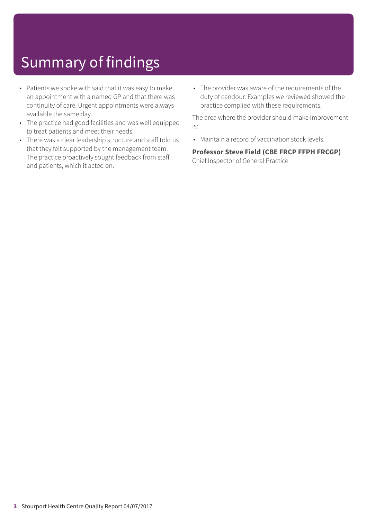- Patients we spoke with said that it was easy to make an appointment with a named GP and that there was continuity of care. Urgent appointments were always available the same day.
- The practice had good facilities and was well equipped to treat patients and meet their needs.
- There was a clear leadership structure and staff told us that they felt supported by the management team. The practice proactively sought feedback from staff and patients, which it acted on.
- The provider was aware of the requirements of the duty of candour. Examples we reviewed showed the practice complied with these requirements.

The area where the provider should make improvement is:

• Maintain a record of vaccination stock levels.

**Professor Steve Field (CBE FRCP FFPH FRCGP)** Chief Inspector of General Practice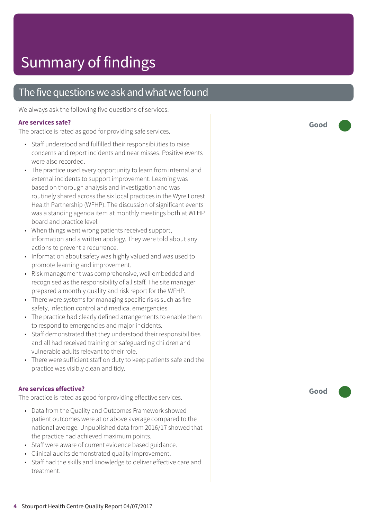### The five questions we ask and what we found

We always ask the following five questions of services.

#### **Are services safe?**

The practice is rated as good for providing safe services.

- Staff understood and fulfilled their responsibilities to raise concerns and report incidents and near misses. Positive events were also recorded.
- The practice used every opportunity to learn from internal and external incidents to support improvement. Learning was based on thorough analysis and investigation and was routinely shared across the six local practices in the Wyre Forest Health Partnership (WFHP). The discussion of significant events was a standing agenda item at monthly meetings both at WFHP board and practice level.
- When things went wrong patients received support, information and a written apology. They were told about any actions to prevent a recurrence.
- Information about safety was highly valued and was used to promote learning and improvement.
- Risk management was comprehensive, well embedded and recognised as the responsibility of all staff. The site manager prepared a monthly quality and risk report for the WFHP.
- There were systems for managing specific risks such as fire safety, infection control and medical emergencies.
- The practice had clearly defined arrangements to enable them to respond to emergencies and major incidents.
- Staff demonstrated that they understood their responsibilities and all had received training on safeguarding children and vulnerable adults relevant to their role.
- There were sufficient staff on duty to keep patients safe and the practice was visibly clean and tidy.

#### **Are services effective?**

The practice is rated as good for providing effective services.

- Data from the Quality and Outcomes Framework showed patient outcomes were at or above average compared to the national average. Unpublished data from 2016/17 showed that the practice had achieved maximum points.
- Staff were aware of current evidence based guidance.
- Clinical audits demonstrated quality improvement.
- Staff had the skills and knowledge to deliver effective care and treatment.

**Good –––**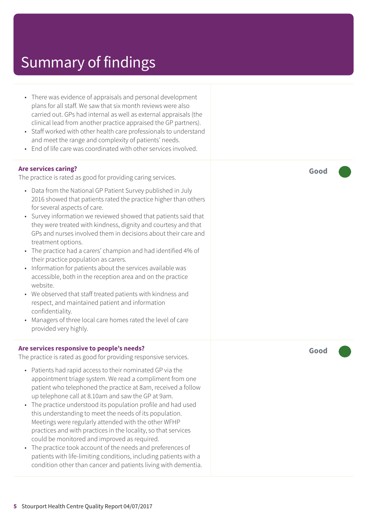- There was evidence of appraisals and personal development plans for all staff. We saw that six month reviews were also carried out. GPs had internal as well as external appraisals (the clinical lead from another practice appraised the GP partners).
- Staff worked with other health care professionals to understand and meet the range and complexity of patients' needs.
- End of life care was coordinated with other services involved.

#### **Are services caring?**

The practice is rated as good for providing caring services.

- Data from the National GP Patient Survey published in July 2016 showed that patients rated the practice higher than others for several aspects of care.
- Survey information we reviewed showed that patients said that they were treated with kindness, dignity and courtesy and that GPs and nurses involved them in decisions about their care and treatment options.
- The practice had a carers' champion and had identified 4% of their practice population as carers.
- Information for patients about the services available was accessible, both in the reception area and on the practice website.
- We observed that staff treated patients with kindness and respect, and maintained patient and information confidentiality.
- Managers of three local care homes rated the level of care provided very highly.

#### **Are services responsive to people's needs?**

The practice is rated as good for providing responsive services.

- Patients had rapid access to their nominated GP via the appointment triage system. We read a compliment from one patient who telephoned the practice at 8am, received a follow up telephone call at 8.10am and saw the GP at 9am.
- The practice understood its population profile and had used this understanding to meet the needs of its population. Meetings were regularly attended with the other WFHP practices and with practices in the locality, so that services could be monitored and improved as required.
- The practice took account of the needs and preferences of patients with life-limiting conditions, including patients with a condition other than cancer and patients living with dementia.

**Good –––**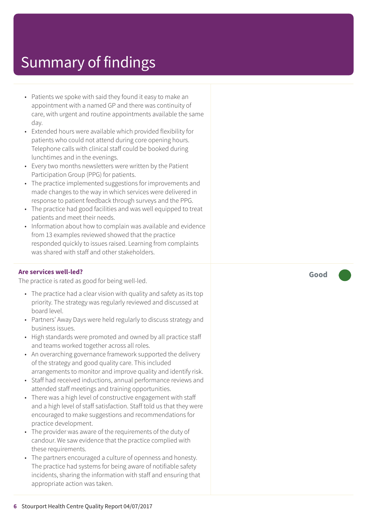- Patients we spoke with said they found it easy to make an appointment with a named GP and ther e was continuity of care, with ur gent and routine appointments available the same day.
- Extended hour s wer e available which provided flexibility for patients who could not attend during cor e opening hours. Telephone calls with clinical staff could be booked during lunchtimes and in the evenings.
- Ever y two months newsletter s wer e written by the Patient Participation Group (PPG) for patients.
- The practic e implemented suggestions for improvements and made changes t o the way in which services wer e delivered in response t o patient feedback through surveys and the PPG.
- The practice had good facilities and was well equipped to treat patients and mee t their needs.
- Information about how to complain was available and evidence from 13 examples reviewed showed that the practice responded quickly to issues raised. Learning from complaints was shared with staff and other stakeholders.

#### **Ar e services well-led?**

The practic e is rated as good for being well-led.

- The practice had a clear vision with quality and safety as its top priority. The strategy was regularly reviewed and discussed at boar d level.
- Partners' Away Days were held regularly to discuss strategy and business issues.
- High standards wer e promoted and owned by all practic e staff and t eams worked tog ether across all roles.
- An overarching governance framework supported the delivery of the strat egy and good quality care. This included arrangements t o monitor and improve quality and identify risk.
- Staff had received inductions, annual performance reviews and attended staff meetings and training opportunities.
- Ther e was a high level of constructive engagement with staff and a high level of staff satisfaction. Staff told us that the y wer e encouraged to make suggestions and recommendations for practic e development.
- The provider was aware of the requirements of the duty of candour. We saw evidenc e that the practic e complied with these requirements.
- The partner s encouraged a cultur e of openness and honesty. The practic e had systems for being awar e of notifiable saf ety incidents, sharing the information with staff and ensuring that appropriat e action was taken.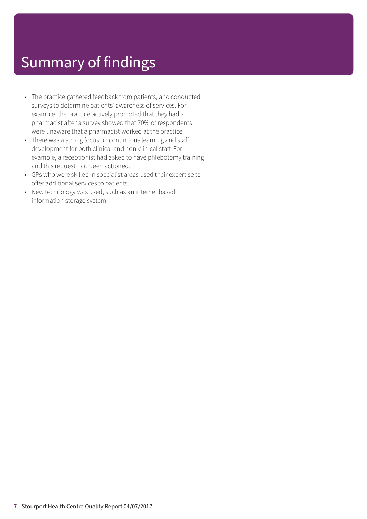- The practice gathered feedback from patients, and conducted surveys to determine patients' awareness of services. For example, the practice actively promoted that they had a pharmacist after a survey showed that 70% of respondents were unaware that a pharmacist worked at the practice.
- There was a strong focus on continuous learning and staff development for both clinical and non-clinical staff. For example, a receptionist had asked to have phlebotomy training and this request had been actioned.
- GPs who were skilled in specialist areas used their expertise to offer additional services to patients.
- New technology was used, such as an internet based information storage system.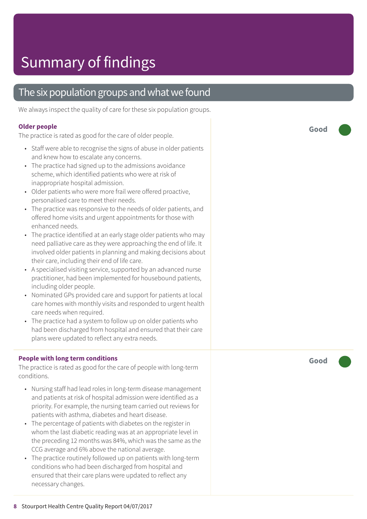### The six population groups and what we found

We always inspect the quality of care for these six population groups.

#### **Older people**

The practice is rated as good for the care of older people.

- Staff were able to recognise the signs of abuse in older patients and kne w how t o escalat e any concerns.
- The practice had signed up to the admissions avoidance scheme, which identified patients who wer e at risk of inappropriat e hospital admission.
- Older patients who wer e mor e frail wer e offered pr oactive, personalised car e t o mee t their needs.
- The practice was responsive to the needs of older patients, and offered home visits and ur gent appointments for those with enhanced needs.
- The practice identified at an early stage older patients who may need palliative care as they were approaching the end of life. It involved older patients in planning and making decisions about their care, including their end of lif e care.
- A specialised visiting service, supported by an advanced nurse practitioner , had been implemented for housebound patients, including older people.
- Nominated GPs provided care and support for patients at local care homes with monthly visits and responded to urgent health car e needs when required.
- The practice had a system to follow up on older patients who had been dischar ged from hospital and ensured that their car e plans wer e updated t o reflect any extr a needs.

#### **People with long term conditions**

The practice is rated as good for the care of people with long-term conditions.

- Nursing staff had lead roles in long-term disease management and patients at risk of hospital admission wer e identified as a priority. For example, the nursing t eam carried out r eviews for patients with asthma, diabe tes and heart disease.
- The percentage of patients with diabetes on the register in whom the last diabetic reading was at an appropriate level in the preceding 12 months was 84%, which was the same as the C C G averag e and 6% above the national average.
- The practice routinely followed up on patients with long-term conditions who had been dischar ged from hospital and ensured that their care plans were updated to reflect any necessar y changes.

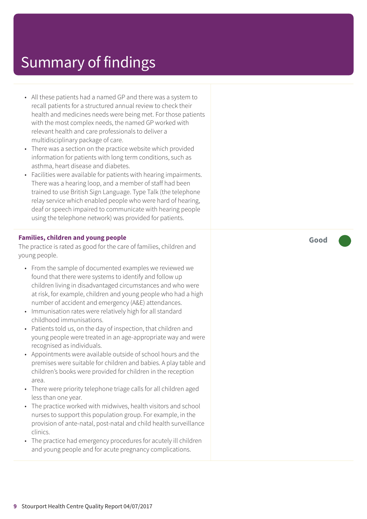- All these patients had a named GP and there was a system to recall patients for a structured annual review to check their health and medicines needs were being met. For those patients with the most complex needs, the named GP worked with relevant health and care professionals to deliver a multidisciplinary package of care.
- There was a section on the practice website which provided information for patients with long term conditions, such as asthma, heart disease and diabetes.
- Facilities were available for patients with hearing impairments. There was a hearing loop, and a member of staff had been trained to use British Sign Language. Type Talk (the telephone relay service which enabled people who were hard of hearing, deaf or speech impaired to communicate with hearing people using the telephone network) was provided for patients.

#### **Families, children and young people**

The practice is rated as good for the care of families, children and young people.

- From the sample of documented examples we reviewed we found that there were systems to identify and follow up children living in disadvantaged circumstances and who were at risk, for example, children and young people who had a high number of accident and emergency (A&E) attendances.
- Immunisation rates were relatively high for all standard childhood immunisations.
- Patients told us, on the day of inspection, that children and young people were treated in an age-appropriate way and were recognised as individuals.
- Appointments were available outside of school hours and the premises were suitable for children and babies. A play table and children's books were provided for children in the reception area.
- There were priority telephone triage calls for all children aged less than one year.
- The practice worked with midwives, health visitors and school nurses to support this population group. For example, in the provision of ante-natal, post-natal and child health surveillance clinics.
- The practice had emergency procedures for acutely ill children and young people and for acute pregnancy complications.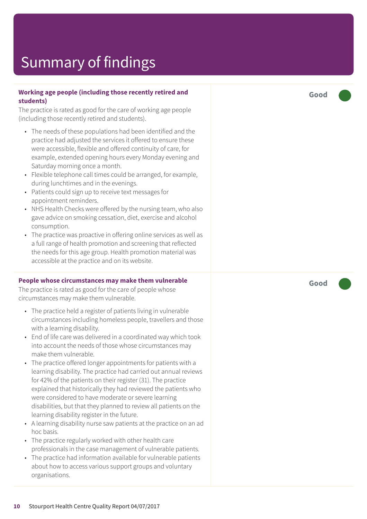#### **Working age people (including those recently retired and students)**

The practice is rated as good for the care of working age people (including those recently retired and students).

- The needs of these populations had been identified and the practice had adjusted the services it offered to ensure these were accessible, flexible and offered continuity of care, for example, extended opening hours every Monday evening and Saturday morning once a month.
- Flexible telephone call times could be arranged, for example, during lunchtimes and in the evenings.
- Patients could sign up to receive text messages for appointment reminders.
- NHS Health Checks were offered by the nursing team, who also gave advice on smoking cessation, diet, exercise and alcohol consumption.
- The practice was proactive in offering online services as well as a full range of health promotion and screening that reflected the needs for this age group. Health promotion material was accessible at the practice and on its website.

#### **People whose circumstances may make them vulnerable**

The practice is rated as good for the care of people whose circumstances may make them vulnerable.

- The practice held a register of patients living in vulnerable circumstances including homeless people, travellers and those with a learning disability.
- End of life care was delivered in a coordinated way which took into account the needs of those whose circumstances may make them vulnerable.
- The practice offered longer appointments for patients with a learning disability. The practice had carried out annual reviews for 42% of the patients on their register (31). The practice explained that historically they had reviewed the patients who were considered to have moderate or severe learning disabilities, but that they planned to review all patients on the learning disability register in the future.
- A learning disability nurse saw patients at the practice on an ad hoc basis.
- The practice regularly worked with other health care professionals in the case management of vulnerable patients.
- The practice had information available for vulnerable patients about how to access various support groups and voluntary organisations.

**Good –––**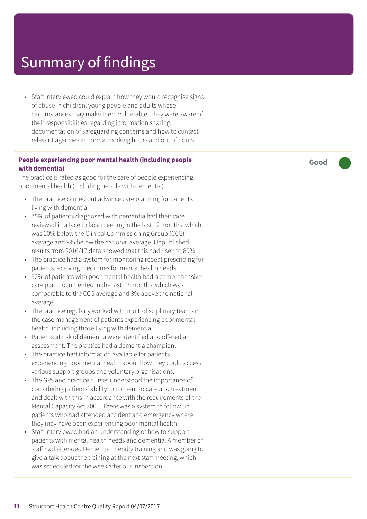• Staff interviewed could explain how they would recognise signs of abuse in children, young people and adults whose circumstances may make them vulnerable. They were aware of their responsibilities regarding information sharing, documentation of safeguarding concerns and how to contact relevant agencies in normal working hours and out of hours.

#### **People experiencing poor mental health (including people with dementia)**

The practice is rated as good for the care of people experiencing poor mental health (including people with dementia).

- The practice carried out advance care planning for patients living with dementia.
- 75% of patients diagnosed with dementia had their care reviewed in a face to face meeting in the last 12 months, which was 10% below the Clinical Commissioning Group (CCG) average and 9% below the national average. Unpublished results from 2016/17 data showed that this had risen to 89%.
- The practice had a system for monitoring repeat prescribing for patients receiving medicines for mental health needs.
- 92% of patients with poor mental health had a comprehensive care plan documented in the last 12 months, which was comparable to the CCG average and 3% above the national average.
- The practice regularly worked with multi-disciplinary teams in the case management of patients experiencing poor mental health, including those living with dementia.
- Patients at risk of dementia were identified and offered an assessment. The practice had a dementia champion.
- The practice had information available for patients experiencing poor mental health about how they could access various support groups and voluntary organisations.
- The GPs and practice nurses understood the importance of considering patients' ability to consent to care and treatment and dealt with this in accordance with the requirements of the Mental Capacity Act 2005. There was a system to follow up patients who had attended accident and emergency where they may have been experiencing poor mental health.
- Staff interviewed had an understanding of how to support patients with mental health needs and dementia. A member of staff had attended Dementia Friendly training and was going to give a talk about the training at the next staff meeting, which was scheduled for the week after our inspection.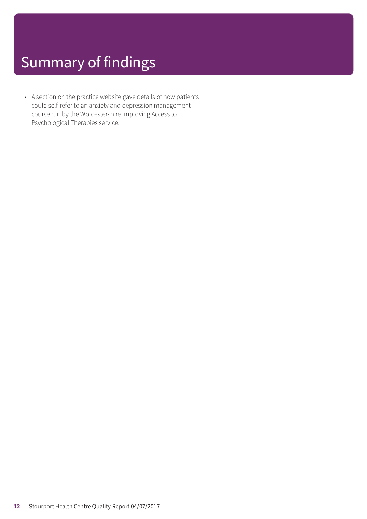• A section on the practice website gave details of how patients could self-refer to an anxiety and depression management course run by the Worcestershire Improving Access to Psychological Therapies service.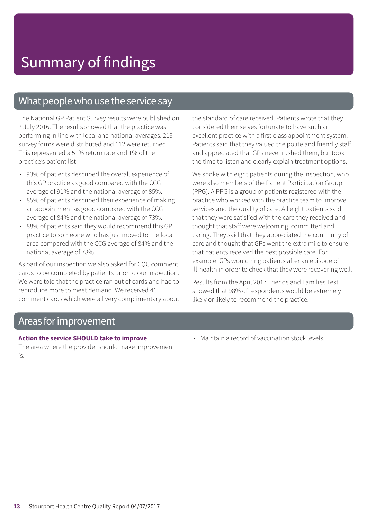### What people who use the service say

The National GP Patient Survey results were published on 7 July 2016. The results showed that the practice was performing in line with local and national averages. 219 survey forms were distributed and 112 were returned. This represented a 51% return rate and 1% of the practice's patient list.

- 93% of patients described the overall experience of this GP practice as good compared with the CCG average of 91% and the national average of 85%.
- 85% of patients described their experience of making an appointment as good compared with the CCG average of 84% and the national average of 73%.
- 88% of patients said they would recommend this GP practice to someone who has just moved to the local area compared with the CCG average of 84% and the national average of 78%.

As part of our inspection we also asked for CQC comment cards to be completed by patients prior to our inspection. We were told that the practice ran out of cards and had to reproduce more to meet demand. We received 46 comment cards which were all very complimentary about the standard of care received. Patients wrote that they considered themselves fortunate to have such an excellent practice with a first class appointment system. Patients said that they valued the polite and friendly staff and appreciated that GPs never rushed them, but took the time to listen and clearly explain treatment options.

We spoke with eight patients during the inspection, who were also members of the Patient Participation Group (PPG). A PPG is a group of patients registered with the practice who worked with the practice team to improve services and the quality of care. All eight patients said that they were satisfied with the care they received and thought that staff were welcoming, committed and caring. They said that they appreciated the continuity of care and thought that GPs went the extra mile to ensure that patients received the best possible care. For example, GPs would ring patients after an episode of ill-health in order to check that they were recovering well.

Results from the April 2017 Friends and Families Test showed that 98% of respondents would be extremely likely or likely to recommend the practice.

### Areas forimprovement

#### **Action the service SHOULD take to improve**

The area where the provider should make improvement is:

• Maintain a record of vaccination stock levels.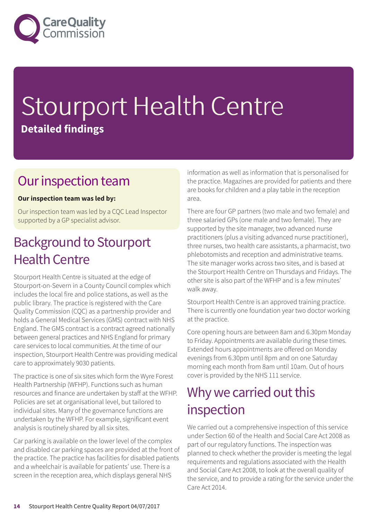

# Stourport Health Centre **Detailed findings**

### Our inspection team

#### **Our inspection team was led by:**

Our inspection team was led by a CQC Lead Inspector supported by a GP specialist advisor.

### **Background to Stourport Health Centre**

Stourport Health Centre is situated at the edge of Stourport-on-Severn in a County Council complex which includes the local fire and police stations, as well as the public library. The practice is registered with the Care Quality Commission (CQC) as a partnership provider and holds a General Medical Services (GMS) contract with NHS England. The GMS contract is a contract agreed nationally between general practices and NHS England for primary care services to local communities. At the time of our inspection, Stourport Health Centre was providing medical care to approximately 9030 patients.

The practice is one of six sites which form the Wyre Forest Health Partnership (WFHP). Functions such as human resources and finance are undertaken by staff at the WFHP. Policies are set at organisational level, but tailored to individual sites. Many of the governance functions are undertaken by the WFHP. For example, significant event analysis is routinely shared by all six sites.

Car parking is available on the lower level of the complex and disabled car parking spaces are provided at the front of the practice. The practice has facilities for disabled patients and a wheelchair is available for patients' use. There is a screen in the reception area, which displays general NHS

information as well as information that is personalised for the practice. Magazines are provided for patients and there are books for children and a play table in the reception area.

There are four GP partners (two male and two female) and three salaried GPs (one male and two female). They are supported by the site manager, two advanced nurse practitioners (plus a visiting advanced nurse practitioner), three nurses, two health care assistants, a pharmacist, two phlebotomists and reception and administrative teams. The site manager works across two sites, and is based at the Stourport Health Centre on Thursdays and Fridays. The other site is also part of the WFHP and is a few minutes' walk away.

Stourport Health Centre is an approved training practice. There is currently one foundation year two doctor working at the practice.

Core opening hours are between 8am and 6.30pm Monday to Friday. Appointments are available during these times. Extended hours appointments are offered on Monday evenings from 6.30pm until 8pm and on one Saturday morning each month from 8am until 10am. Out of hours cover is provided by the NHS 111 service.

### Why we carried out this inspection

We carried out a comprehensive inspection of this service under Section 60 of the Health and Social Care Act 2008 as part of our regulatory functions. The inspection was planned to check whether the provider is meeting the legal requirements and regulations associated with the Health and Social Care Act 2008, to look at the overall quality of the service, and to provide a rating for the service under the Care Act 2014.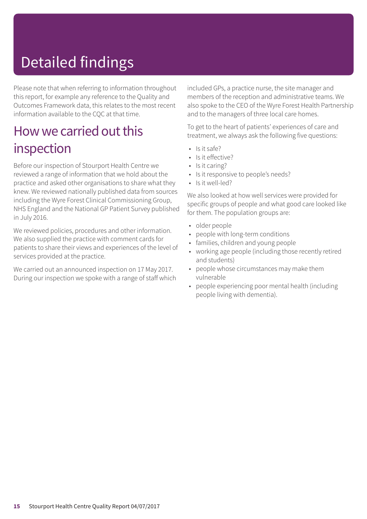# Detailed findings

Please note that when referring to information throughout this report, for example any reference to the Quality and Outcomes Framework data, this relates to the most recent information available to the CQC at that time.

### How we carried out this inspection

Before our inspection of Stourport Health Centre we reviewed a range of information that we hold about the practice and asked other organisations to share what they knew. We reviewed nationally published data from sources including the Wyre Forest Clinical Commissioning Group, NHS England and the National GP Patient Survey published in July 2016.

We reviewed policies, procedures and other information. We also supplied the practice with comment cards for patients to share their views and experiences of the level of services provided at the practice.

We carried out an announced inspection on 17 May 2017. During our inspection we spoke with a range of staff which included GPs, a practice nurse, the site manager and members of the reception and administrative teams. We also spoke to the CEO of the Wyre Forest Health Partnership and to the managers of three local care homes.

To get to the heart of patients' experiences of care and treatment, we always ask the following five questions:

- Is it safe?
- Is it effective?
- Is it caring?
- Is it responsive to people's needs?
- Is it well-led?

We also looked at how well services were provided for specific groups of people and what good care looked like for them. The population groups are:

- older people
- people with long-term conditions
- families, children and young people
- working age people (including those recently retired and students)
- people whose circumstances may make them vulnerable
- people experiencing poor mental health (including people living with dementia).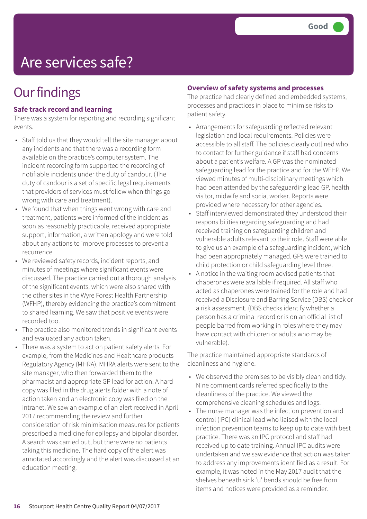## Are services safe?

### **Our findings**

#### **Safe track record and learning**

There was a system for reporting and recording significant events.

- Staff told us that they would tell the site manager about any incidents and that there was a recording form available on the practice's computer system. The incident recording form supported the recording of notifiable incidents under the duty of candour. (The duty of candour is a set of specific legal requirements that providers of services must follow when things go wrong with care and treatment).
- We found that when things went wrong with care and treatment, patients were informed of the incident as soon as reasonably practicable, received appropriate support, information, a written apology and were told about any actions to improve processes to prevent a recurrence.
- We reviewed safety records, incident reports, and minutes of meetings where significant events were discussed. The practice carried out a thorough analysis of the significant events, which were also shared with the other sites in the Wyre Forest Health Partnership (WFHP), thereby evidencing the practice's commitment to shared learning. We saw that positive events were recorded too.
- The practice also monitored trends in significant events and evaluated any action taken.
- There was a system to act on patient safety alerts. For example, from the Medicines and Healthcare products Regulatory Agency (MHRA). MHRA alerts were sent to the site manager, who then forwarded them to the pharmacist and appropriate GP lead for action. A hard copy was filed in the drug alerts folder with a note of action taken and an electronic copy was filed on the intranet. We saw an example of an alert received in April 2017 recommending the review and further consideration of risk minimisation measures for patients prescribed a medicine for epilepsy and bipolar disorder. A search was carried out, but there were no patients taking this medicine. The hard copy of the alert was annotated accordingly and the alert was discussed at an education meeting.

#### **Overview of safety systems and processes**

The practice had clearly defined and embedded systems, processes and practices in place to minimise risks to patient safety.

- Arrangements for safeguarding reflected relevant legislation and local requirements. Policies were accessible to all staff. The policies clearly outlined who to contact for further guidance if staff had concerns about a patient's welfare. A GP was the nominated safeguarding lead for the practice and for the WFHP. We viewed minutes of multi-disciplinary meetings which had been attended by the safeguarding lead GP, health visitor, midwife and social worker. Reports were provided where necessary for other agencies.
- Staff interviewed demonstrated they understood their responsibilities regarding safeguarding and had received training on safeguarding children and vulnerable adults relevant to their role. Staff were able to give us an example of a safeguarding incident, which had been appropriately managed. GPs were trained to child protection or child safeguarding level three.
- A notice in the waiting room advised patients that chaperones were available if required. All staff who acted as chaperones were trained for the role and had received a Disclosure and Barring Service (DBS) check or a risk assessment. (DBS checks identify whether a person has a criminal record or is on an official list of people barred from working in roles where they may have contact with children or adults who may be vulnerable).

The practice maintained appropriate standards of cleanliness and hygiene.

- We observed the premises to be visibly clean and tidy. Nine comment cards referred specifically to the cleanliness of the practice. We viewed the comprehensive cleaning schedules and logs.
- The nurse manager was the infection prevention and control (IPC) clinical lead who liaised with the local infection prevention teams to keep up to date with best practice. There was an IPC protocol and staff had received up to date training. Annual IPC audits were undertaken and we saw evidence that action was taken to address any improvements identified as a result. For example, it was noted in the May 2017 audit that the shelves beneath sink 'u' bends should be free from items and notices were provided as a reminder.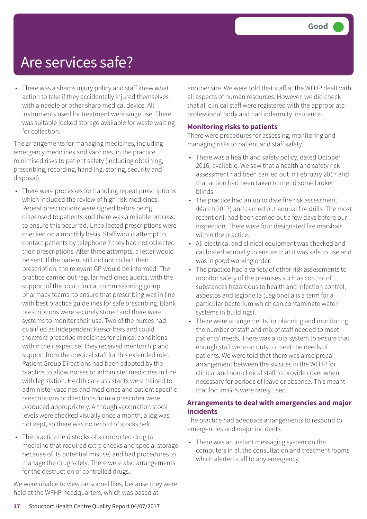### Are services safe?

• There was a sharps injury policy and staff knew what action to take if they accidentally injured themselves with a needle or other sharp medical device. All instruments used for treatment were singe use. There was suitable locked storage available for waste waiting for collection.

The arrangements for managing medicines, including emergency medicines and vaccines, in the practice minimised risks to patient safety (including obtaining, prescribing, recording, handling, storing, security and disposal).

- There were processes for handling repeat prescriptions which included the review of high risk medicines. Repeat prescriptions were signed before being dispensed to patients and there was a reliable process to ensure this occurred. Uncollected prescriptions were checked on a monthly basis. Staff would attempt to contact patients by telephone if they had not collected their prescriptions. After three attempts, a letter would be sent. If the patient still did not collect their prescription, the relevant GP would be informed. The practice carried out regular medicines audits, with the support of the local clinical commissioning group pharmacy teams, to ensure that prescribing was in line with best practice guidelines for safe prescribing. Blank prescriptions were securely stored and there were systems to monitor their use. Two of the nurses had qualified as Independent Prescribers and could therefore prescribe medicines for clinical conditions within their expertise. They received mentorship and support from the medical staff for this extended role. Patient Group Directions had been adopted by the practice to allow nurses to administer medicines in line with legislation. Health care assistants were trained to administer vaccines and medicines and patient specific prescriptions or directions from a prescriber were produced appropriately. Although vaccination stock levels were checked visually once a month, a log was not kept, so there was no record of stocks held.
- The practice held stocks of a controlled drug (a medicine that required extra checks and special storage because of its potential misuse) and had procedures to manage the drug safely. There were also arrangements for the destruction of controlled drugs.

We were unable to view personnel files, because they were held at the WFHP headquarters, which was based at

another site. We were told that staff at the WFHP dealt with all aspects of human resources. However, we did check that all clinical staff were registered with the appropriate professional body and had indemnity insurance.

#### **Monitoring risks to patients**

There were procedures for assessing, monitoring and managing risks to patient and staff safety.

- There was a health and safety policy, dated October 2016, available. We saw that a health and safety risk assessment had been carried out in February 2017 and that action had been taken to mend some broken blinds.
- The practice had an up to date fire risk assessment (March 2017) and carried out annual fire drills. The most recent drill had been carried out a few days before our inspection. There were four designated fire marshals within the practice.
- All electrical and clinical equipment was checked and calibrated annually to ensure that it was safe to use and was in good working order.
- The practice had a variety of other risk assessments to monitor safety of the premises such as control of substances hazardous to health and infection control, asbestos and legionella (Legionella is a term for a particular bacterium which can contaminate water systems in buildings).
- There were arrangements for planning and monitoring the number of staff and mix of staff needed to meet patients' needs. There was a rota system to ensure that enough staff were on duty to meet the needs of patients. We were told that there was a reciprocal arrangement between the six sites in the WFHP for clinical and non-clinical staff to provide cover when necessary for periods of leave or absence. This meant that locum GPs were rarely used.

#### **Arrangements to deal with emergencies and major incidents**

The practice had adequate arrangements to respond to emergencies and major incidents.

• There was an instant messaging system on the computers in all the consultation and treatment rooms which alerted staff to any emergency.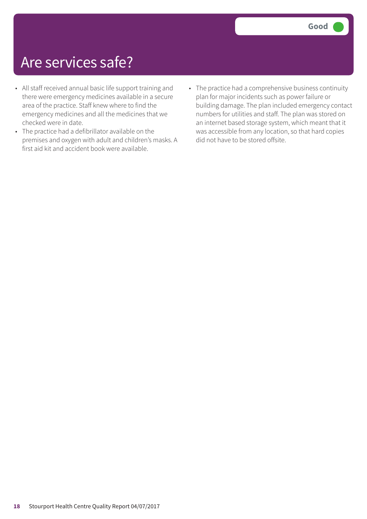## Are services safe?

- All staff received annual basic life support training and there were emergency medicines available in a secure area of the practice. Staff knew where to find the emergency medicines and all the medicines that we checked were in date.
- The practice had a defibrillator available on the premises and oxygen with adult and children's masks. A first aid kit and accident book were available.
- The practice had a comprehensive business continuity plan for major incidents such as power failure or building damage. The plan included emergency contact numbers for utilities and staff. The plan was stored on an internet based storage system, which meant that it was accessible from any location, so that hard copies did not have to be stored offsite.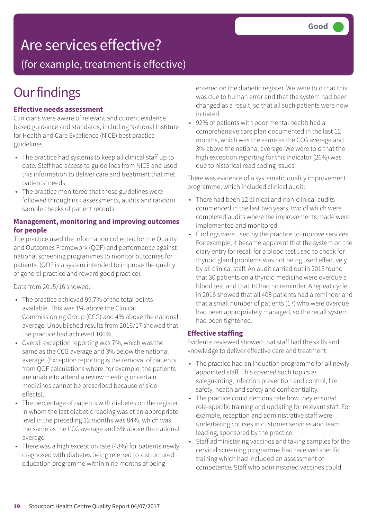## Are services effective?

(for example, treatment is effective)

## **Our findings**

#### **Effective needs assessment**

Clinicians were aware of relevant and current evidence based guidance and standards, including National Institute for Health and Care Excellence (NICE) best practice guidelines.

- The practice had systems to keep all clinical staff up to date. Staff had access to guidelines from NICE and used this information to deliver care and treatment that met patients' needs.
- The practice monitored that these guidelines were followed through risk assessments, audits and random sample checks of patient records.

#### **Management, monitoring and improving outcomes for people**

The practice used the information collected for the Quality and Outcomes Framework (QOF) and performance against national screening programmes to monitor outcomes for patients. (QOF is a system intended to improve the quality of general practice and reward good practice).

Data from 2015/16 showed:

- The practice achieved 99.7% of the total points available. This was 1% above the Clinical Commissioning Group (CCG) and 4% above the national average. Unpublished results from 2016/17 showed that the practice had achieved 100%.
- Overall exception reporting was 7%, which was the same as the CCG average and 3% below the national average. (Exception reporting is the removal of patients from QOF calculations where, for example, the patients are unable to attend a review meeting or certain medicines cannot be prescribed because of side effects).
- The percentage of patients with diabetes on the register in whom the last diabetic reading was at an appropriate level in the preceding 12 months was 84%, which was the same as the CCG average and 6% above the national average.
- There was a high exception rate (48%) for patients newly diagnosed with diabetes being referred to a structured education programme within nine months of being

entered on the diabetic register. We were told that this was due to human error and that the system had been changed as a result, so that all such patients were now initiated.

• 92% of patients with poor mental health had a comprehensive care plan documented in the last 12 months, which was the same as the CCG average and 3% above the national average. We were told that the high exception reporting for this indicator (26%) was due to historical read coding issues.

There was evidence of a systematic quality improvement programme, which included clinical audit:

- There had been 12 clinical and non-clinical audits commenced in the last two years, two of which were completed audits where the improvements made were implemented and monitored.
- Findings were used by the practice to improve services. For example, it became apparent that the system on the diary entry for recall for a blood test used to check for thyroid gland problems was not being used effectively by all clinical staff. An audit carried out in 2015 found that 30 patients on a thyroid medicine were overdue a blood test and that 10 had no reminder. A repeat cycle in 2016 showed that all 408 patients had a reminder and that a small number of patients (17) who were overdue had been appropriately managed, so the recall system had been tightened.

#### **Effective staffing**

Evidence reviewed showed that staff had the skills and knowledge to deliver effective care and treatment.

- The practice had an induction programme for all newly appointed staff. This covered such topics as safeguarding, infection prevention and control, fire safety, health and safety and confidentiality.
- The practice could demonstrate how they ensured role-specific training and updating for relevant staff. For example, reception and administrative staff were undertaking courses in customer services and team leading, sponsored by the practice.
- Staff administering vaccines and taking samples for the cervical screening programme had received specific training which had included an assessment of competence. Staff who administered vaccines could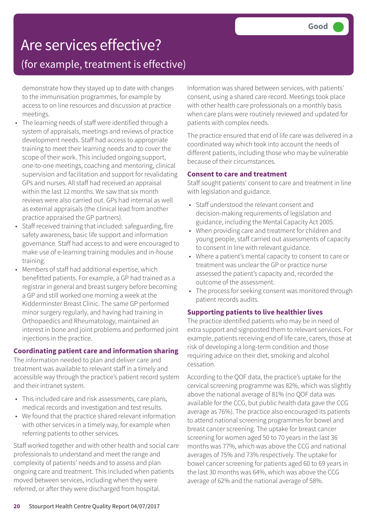## Are services effective?

### (for example, treatment is effective)

demonstrate how they stayed up to date with changes to the immunisation programmes, for example by access to on line resources and discussion at practice meetings.

- The learning needs of staff were identified through a system of appraisals, meetings and reviews of practice development needs. Staff had access to appropriate training to meet their learning needs and to cover the scope of their work. This included ongoing support, one-to-one meetings, coaching and mentoring, clinical supervision and facilitation and support for revalidating GPs and nurses. All staff had received an appraisal within the last 12 months. We saw that six month reviews were also carried out. GPs had internal as well as external appraisals (the clinical lead from another practice appraised the GP partners).
- Staff received training that included: safeguarding, fire safety awareness, basic life support and information governance. Staff had access to and were encouraged to make use of e-learning training modules and in-house training.
- Members of staff had additional expertise, which benefitted patients. For example, a GP had trained as a registrar in general and breast surgery before becoming a GP and still worked one morning a week at the Kidderminster Breast Clinic. The same GP performed minor surgery regularly, and having had training in Orthopaedics and Rheumatology, maintained an interest in bone and joint problems and performed joint injections in the practice.

#### **Coordinating patient care and information sharing**

The information needed to plan and deliver care and treatment was available to relevant staff in a timely and accessible way through the practice's patient record system and their intranet system.

- This included care and risk assessments, care plans, medical records and investigation and test results.
- We found that the practice shared relevant information with other services in a timely way, for example when referring patients to other services.

Staff worked together and with other health and social care professionals to understand and meet the range and complexity of patients' needs and to assess and plan ongoing care and treatment. This included when patients moved between services, including when they were referred, or after they were discharged from hospital.

Information was shared between services, with patients' consent, using a shared care record. Meetings took place with other health care professionals on a monthly basis when care plans were routinely reviewed and updated for patients with complex needs.

The practice ensured that end of life care was delivered in a coordinated way which took into account the needs of different patients, including those who may be vulnerable because of their circumstances.

#### **Consent to care and treatment**

Staff sought patients' consent to care and treatment in line with legislation and guidance.

- Staff understood the relevant consent and decision-making requirements of legislation and guidance, including the Mental Capacity Act 2005.
- When providing care and treatment for children and young people, staff carried out assessments of capacity to consent in line with relevant guidance.
- Where a patient's mental capacity to consent to care or treatment was unclear the GP or practice nurse assessed the patient's capacity and, recorded the outcome of the assessment.
- The process for seeking consent was monitored through patient records audits.

#### **Supporting patients to live healthier lives**

The practice identified patients who may be in need of extra support and signposted them to relevant services. For example, patients receiving end of life care, carers, those at risk of developing a long-term condition and those requiring advice on their diet, smoking and alcohol cessation.

According to the QOF data, the practice's uptake for the cervical screening programme was 82%, which was slightly above the national average of 81% (no QOF data was available for the CCG, but public health data gave the CCG average as 76%). The practice also encouraged its patients to attend national screening programmes for bowel and breast cancer screening. The uptake for breast cancer screening for women aged 50 to 70 years in the last 36 months was 77%, which was above the CCG and national averages of 75% and 73% respectively. The uptake for bowel cancer screening for patients aged 60 to 69 years in the last 30 months was 64%, which was above the CCG average of 62% and the national average of 58%.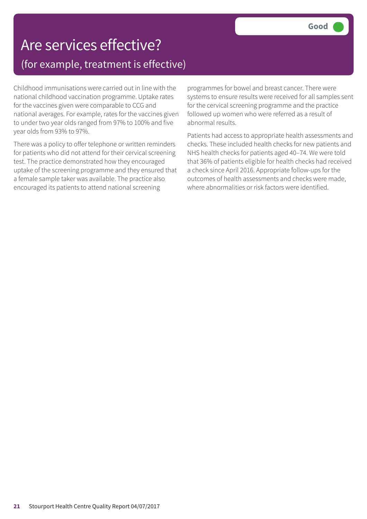### Are services effective? (for example, treatment is effective)

Childhood immunisations were carried out in line with the national childhood vaccination programme. Uptake rates for the vaccines given were comparable to CCG and national averages. For example, rates for the vaccines given to under two year olds ranged from 97% to 100% and five year olds from 93% to 97%.

There was a policy to offer telephone or written reminders for patients who did not attend for their cervical screening test. The practice demonstrated how they encouraged uptake of the screening programme and they ensured that a female sample taker was available. The practice also encouraged its patients to attend national screening

programmes for bowel and breast cancer. There were systems to ensure results were received for all samples sent for the cervical screening programme and the practice followed up women who were referred as a result of abnormal results.

Patients had access to appropriate health assessments and checks. These included health checks for new patients and NHS health checks for patients aged 40–74. We were told that 36% of patients eligible for health checks had received a check since April 2016. Appropriate follow-ups for the outcomes of health assessments and checks were made, where abnormalities or risk factors were identified.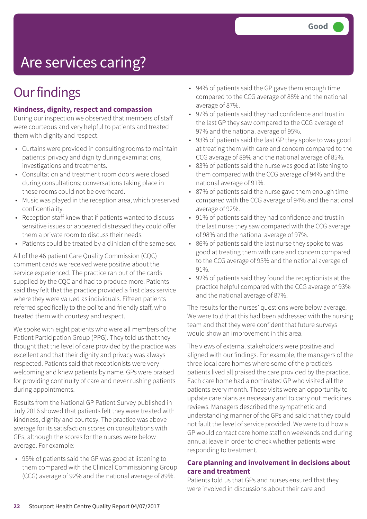# Are services caring?

## **Our findings**

#### **Kindness, dignity, respect and compassion**

During our inspection we observed that members of staff were courteous and very helpful to patients and treated them with dignity and respect.

- Curtains were provided in consulting rooms to maintain patients' privacy and dignity during examinations, investigations and treatments.
- Consultation and treatment room doors were closed during consultations; conversations taking place in these rooms could not be overheard.
- Music was played in the reception area, which preserved confidentiality.
- Reception staff knew that if patients wanted to discuss sensitive issues or appeared distressed they could offer them a private room to discuss their needs.
- Patients could be treated by a clinician of the same sex.

All of the 46 patient Care Quality Commission (CQC) comment cards we received were positive about the service experienced. The practice ran out of the cards supplied by the CQC and had to produce more. Patients said they felt that the practice provided a first class service where they were valued as individuals. Fifteen patients referred specifically to the polite and friendly staff, who treated them with courtesy and respect.

We spoke with eight patients who were all members of the Patient Participation Group (PPG). They told us that they thought that the level of care provided by the practice was excellent and that their dignity and privacy was always respected. Patients said that receptionists were very welcoming and knew patients by name. GPs were praised for providing continuity of care and never rushing patients during appointments.

Results from the National GP Patient Survey published in July 2016 showed that patients felt they were treated with kindness, dignity and courtesy. The practice was above average for its satisfaction scores on consultations with GPs, although the scores for the nurses were below average. For example:

• 95% of patients said the GP was good at listening to them compared with the Clinical Commissioning Group (CCG) average of 92% and the national average of 89%.

- 94% of patients said the GP gave them enough time compared to the CCG average of 88% and the national average of 87%.
- 97% of patients said they had confidence and trust in the last GP they saw compared to the CCG average of 97% and the national average of 95%.
- 93% of patients said the last GP they spoke to was good at treating them with care and concern compared to the CCG average of 89% and the national average of 85%.
- 83% of patients said the nurse was good at listening to them compared with the CCG average of 94% and the national average of 91%.
- 87% of patients said the nurse gave them enough time compared with the CCG average of 94% and the national average of 92%.
- 91% of patients said they had confidence and trust in the last nurse they saw compared with the CCG average of 98% and the national average of 97%.
- 86% of patients said the last nurse they spoke to was good at treating them with care and concern compared to the CCG average of 93% and the national average of 91%.
- 92% of patients said they found the receptionists at the practice helpful compared with the CCG average of 93% and the national average of 87%.

The results for the nurses' questions were below average. We were told that this had been addressed with the nursing team and that they were confident that future surveys would show an improvement in this area.

The views of external stakeholders were positive and aligned with our findings. For example, the managers of the three local care homes where some of the practice's patients lived all praised the care provided by the practice. Each care home had a nominated GP who visited all the patients every month. These visits were an opportunity to update care plans as necessary and to carry out medicines reviews. Managers described the sympathetic and understanding manner of the GPs and said that they could not fault the level of service provided. We were told how a GP would contact care home staff on weekends and during annual leave in order to check whether patients were responding to treatment.

#### **Care planning and involvement in decisions about care and treatment**

Patients told us that GPs and nurses ensured that they were involved in discussions about their care and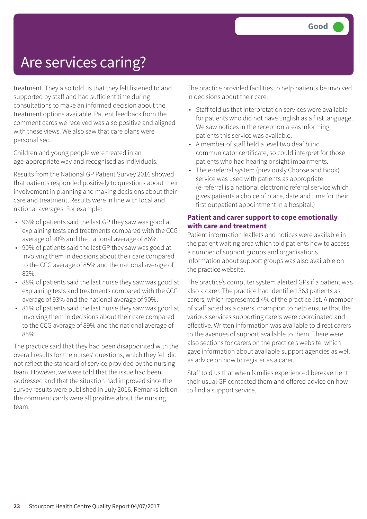### Are services caring?

treatment. They also told us that they felt listened to and supported by staff and had sufficient time during consultations to make an informed decision about the treatment options available. Patient feedback from the comment cards we received was also positive and aligned with these views. We also saw that care plans were personalised.

Children and young people were treated in an age-appropriate way and recognised as individuals.

Results from the National GP Patient Survey 2016 showed that patients responded positively to questions about their involvement in planning and making decisions about their care and treatment. Results were in line with local and national averages. For example:

- 96% of patients said the last GP they saw was good at explaining tests and treatments compared with the CCG average of 90% and the national average of 86%.
- 90% of patients said the last GP they saw was good at involving them in decisions about their care compared to the CCG average of 85% and the national average of 82%.
- 88% of patients said the last nurse they saw was good at explaining tests and treatments compared with the CCG average of 93% and the national average of 90%.
- 81% of patients said the last nurse they saw was good at involving them in decisions about their care compared to the CCG average of 89% and the national average of 85%.

The practice said that they had been disappointed with the overall results for the nurses' questions, which they felt did not reflect the standard of service provided by the nursing team. However, we were told that the issue had been addressed and that the situation had improved since the survey results were published in July 2016. Remarks left on the comment cards were all positive about the nursing team.

The practice provided facilities to help patients be involved in decisions about their care:

- Staff told us that interpretation services were available for patients who did not have English as a first language. We saw notices in the reception areas informing patients this service was available.
- A member of staff held a level two deaf blind communicator certificate, so could interpret for those patients who had hearing or sight impairments.
- The e-referral system (previously Choose and Book) service was used with patients as appropriate. (e-referral is a national electronic referral service which gives patients a choice of place, date and time for their first outpatient appointment in a hospital.)

#### **Patient and carer support to cope emotionally with care and treatment**

Patient information leaflets and notices were available in the patient waiting area which told patients how to access a number of support groups and organisations. Information about support groups was also available on the practice website.

The practice's computer system alerted GPs if a patient was also a carer. The practice had identified 363 patients as carers, which represented 4% of the practice list. A member of staff acted as a carers' champion to help ensure that the various services supporting carers were coordinated and effective. Written information was available to direct carers to the avenues of support available to them. There were also sections for carers on the practice's website, which gave information about available support agencies as well as advice on how to register as a carer.

Staff told us that when families experienced bereavement, their usual GP contacted them and offered advice on how to find a support service.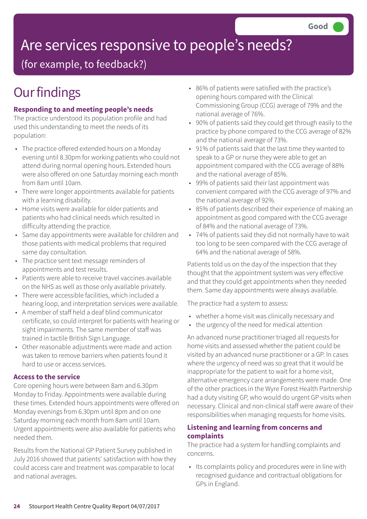# Are services responsive to people's needs?

(for example, to feedback?)

## **Our findings**

#### **Responding to and meeting people's needs**

The practice understood its population profile and had used this understanding to meet the needs of its population:

- The practice offered extended hours on a Monday evening until 8.30pm for working patients who could not attend during normal opening hours. Extended hours were also offered on one Saturday morning each month from 8am until 10am.
- There were longer appointments available for patients with a learning disability.
- Home visits were available for older patients and patients who had clinical needs which resulted in difficulty attending the practice.
- Same day appointments were available for children and those patients with medical problems that required same day consultation.
- The practice sent text message reminders of appointments and test results.
- Patients were able to receive travel vaccines available on the NHS as well as those only available privately.
- There were accessible facilities, which included a hearing loop, and interpretation services were available.
- A member of staff held a deaf blind communicator certificate, so could interpret for patients with hearing or sight impairments. The same member of staff was trained in tactile British Sign Language.
- Other reasonable adjustments were made and action was taken to remove barriers when patients found it hard to use or access services.

#### **Access to the service**

Core opening hours were between 8am and 6.30pm Monday to Friday. Appointments were available during these times. Extended hours appointments were offered on Monday evenings from 6.30pm until 8pm and on one Saturday morning each month from 8am until 10am. Urgent appointments were also available for patients who needed them.

Results from the National GP Patient Survey published in July 2016 showed that patients' satisfaction with how they could access care and treatment was comparable to local and national averages.

- 86% of patients were satisfied with the practice's opening hours compared with the Clinical Commissioning Group (CCG) average of 79% and the national average of 76%.
- 90% of patients said they could get through easily to the practice by phone compared to the CCG average of 82% and the national average of 73%.
- 91% of patients said that the last time they wanted to speak to a GP or nurse they were able to get an appointment compared with the CCG average of 88% and the national average of 85%.
- 99% of patients said their last appointment was convenient compared with the CCG average of 97% and the national average of 92%.
- 85% of patients described their experience of making an appointment as good compared with the CCG average of 84% and the national average of 73%.
- 74% of patients said they did not normally have to wait too long to be seen compared with the CCG average of 64% and the national average of 58%.

Patients told us on the day of the inspection that they thought that the appointment system was very effective and that they could get appointments when they needed them. Same day appointments were always available.

The practice had a system to assess:

- whether a home visit was clinically necessary and
- the urgency of the need for medical attention

An advanced nurse practitioner triaged all requests for home visits and assessed whether the patient could be visited by an advanced nurse practitioner or a GP. In cases where the urgency of need was so great that it would be inappropriate for the patient to wait for a home visit, alternative emergency care arrangements were made. One of the other practices in the Wyre Forest Health Partnership had a duty visiting GP, who would do urgent GP visits when necessary. Clinical and non-clinical staff were aware of their responsibilities when managing requests for home visits.

#### **Listening and learning from concerns and complaints**

The practice had a system for handling complaints and concerns.

• Its complaints policy and procedures were in line with recognised guidance and contractual obligations for GPs in England.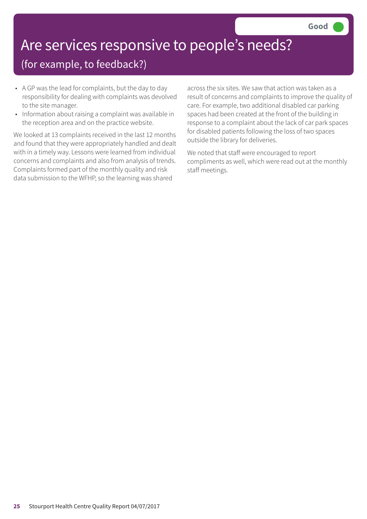# Are services responsive to people's needs?

### (for example, to feedback?)

- A GP was the lead for complaints, but the day to day responsibility for dealing with complaints was devolved to the site manager.
- Information about raising a complaint was available in the reception area and on the practice website.

We looked at 13 complaints received in the last 12 months and found that they were appropriately handled and dealt with in a timely way. Lessons were learned from individual concerns and complaints and also from analysis of trends. Complaints formed part of the monthly quality and risk data submission to the WFHP, so the learning was shared

across the six sites. We saw that action was taken as a result of concerns and complaints to improve the quality of care. For example, two additional disabled car parking spaces had been created at the front of the building in response to a complaint about the lack of car park spaces for disabled patients following the loss of two spaces outside the library for deliveries.

We noted that staff were encouraged to report compliments as well, which were read out at the monthly staff meetings.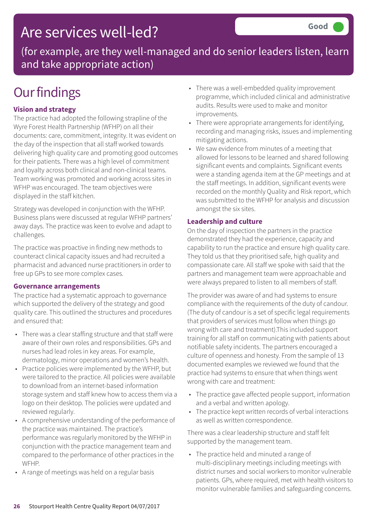### Are services well-led?

(for example, are they well-managed and do senior leaders listen, learn and take appropriate action)

## **Our findings**

#### **Vision and strategy**

The practice had adopted the following strapline of the Wyre Forest Health Partnership (WFHP) on all their documents: care, commitment, integrity. It was evident on the day of the inspection that all staff worked towards delivering high quality care and promoting good outcomes for their patients. There was a high level of commitment and loyalty across both clinical and non-clinical teams. Team working was promoted and working across sites in WFHP was encouraged. The team objectives were displayed in the staff kitchen.

Strategy was developed in conjunction with the WFHP. Business plans were discussed at regular WFHP partners' away days. The practice was keen to evolve and adapt to challenges.

The practice was proactive in finding new methods to counteract clinical capacity issues and had recruited a pharmacist and advanced nurse practitioners in order to free up GPs to see more complex cases.

#### **Governance arrangements**

The practice had a systematic approach to governance which supported the delivery of the strategy and good quality care. This outlined the structures and procedures and ensured that:

- There was a clear staffing structure and that staff were aware of their own roles and responsibilities. GPs and nurses had lead roles in key areas. For example, dermatology, minor operations and women's health.
- Practice policies were implemented by the WFHP, but were tailored to the practice. All policies were available to download from an internet-based information storage system and staff knew how to access them via a logo on their desktop. The policies were updated and reviewed regularly.
- A comprehensive understanding of the performance of the practice was maintained. The practice's performance was regularly monitored by the WFHP in conjunction with the practice management team and compared to the performance of other practices in the **WFHP**
- A range of meetings was held on a regular basis
- There was a well-embedded quality improvement programme, which included clinical and administrative audits. Results were used to make and monitor improvements.
- There were appropriate arrangements for identifying, recording and managing risks, issues and implementing mitigating actions.
- We saw evidence from minutes of a meeting that allowed for lessons to be learned and shared following significant events and complaints. Significant events were a standing agenda item at the GP meetings and at the staff meetings. In addition, significant events were recorded on the monthly Quality and Risk report, which was submitted to the WFHP for analysis and discussion amongst the six sites.

#### **Leadership and culture**

On the day of inspection the partners in the practice demonstrated they had the experience, capacity and capability to run the practice and ensure high quality care. They told us that they prioritised safe, high quality and compassionate care. All staff we spoke with said that the partners and management team were approachable and were always prepared to listen to all members of staff.

The provider was aware of and had systems to ensure compliance with the requirements of the duty of candour. (The duty of candour is a set of specific legal requirements that providers of services must follow when things go wrong with care and treatment).This included support training for all staff on communicating with patients about notifiable safety incidents. The partners encouraged a culture of openness and honesty. From the sample of 13 documented examples we reviewed we found that the practice had systems to ensure that when things went wrong with care and treatment:

- The practice gave affected people support, information and a verbal and written apology.
- The practice kept written records of verbal interactions as well as written correspondence.

There was a clear leadership structure and staff felt supported by the management team.

• The practice held and minuted a range of multi-disciplinary meetings including meetings with district nurses and social workers to monitor vulnerable patients. GPs, where required, met with health visitors to monitor vulnerable families and safeguarding concerns.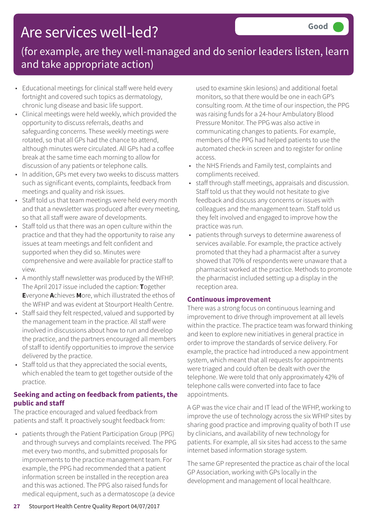## Are services well-led?

### (for example, are they well-managed and do senior leaders listen, learn and take appropriate action)

- Educational meetings for clinical staff were held every fortnight and covered such topics as dermatology, chronic lung disease and basic life support.
- Clinical meetings were held weekly, which provided the opportunity to discuss referrals, deaths and safeguarding concerns. These weekly meetings were rotated, so that all GPs had the chance to attend, although minutes were circulated. All GPs had a coffee break at the same time each morning to allow for discussion of any patients or telephone calls.
- In addition, GPs met every two weeks to discuss matters such as significant events, complaints, feedback from meetings and quality and risk issues.
- Staff told us that team meetings were held every month and that a newsletter was produced after every meeting, so that all staff were aware of developments.
- Staff told us that there was an open culture within the practice and that they had the opportunity to raise any issues at team meetings and felt confident and supported when they did so. Minutes were comprehensive and were available for practice staff to view.
- A monthly staff newsletter was produced by the WFHP. The April 2017 issue included the caption: **T**ogether **E**veryone **A**chieves **M**ore, which illustrated the ethos of the WFHP and was evident at Stourport Health Centre.
- Staff said they felt respected, valued and supported by the management team in the practice. All staff were involved in discussions about how to run and develop the practice, and the partners encouraged all members of staff to identify opportunities to improve the service delivered by the practice.
- Staff told us that they appreciated the social events, which enabled the team to get together outside of the practice.

#### **Seeking and acting on feedback from patients, the public and staff**

The practice encouraged and valued feedback from patients and staff. It proactively sought feedback from:

• patients through the Patient Participation Group (PPG) and through surveys and complaints received. The PPG met every two months, and submitted proposals for improvements to the practice management team. For example, the PPG had recommended that a patient information screen be installed in the reception area and this was actioned. The PPG also raised funds for medical equipment, such as a dermatoscope (a device

used to examine skin lesions) and additional foetal monitors, so that there would be one in each GP's consulting room. At the time of our inspection, the PPG was raising funds for a 24-hour Ambulatory Blood Pressure Monitor. The PPG was also active in communicating changes to patients. For example, members of the PPG had helped patients to use the automated check-in screen and to register for online access.

- the NHS Friends and Family test, complaints and compliments received.
- staff through staff meetings, appraisals and discussion. Staff told us that they would not hesitate to give feedback and discuss any concerns or issues with colleagues and the management team. Staff told us they felt involved and engaged to improve how the practice was run.
- patients through surveys to determine awareness of services available. For example, the practice actively promoted that they had a pharmacist after a survey showed that 70% of respondents were unaware that a pharmacist worked at the practice. Methods to promote the pharmacist included setting up a display in the reception area.

#### **Continuous improvement**

There was a strong focus on continuous learning and improvement to drive through improvement at all levels within the practice. The practice team was forward thinking and keen to explore new initiatives in general practice in order to improve the standards of service delivery. For example, the practice had introduced a new appointment system, which meant that all requests for appointments were triaged and could often be dealt with over the telephone. We were told that only approximately 42% of telephone calls were converted into face to face appointments.

A GP was the vice chair and IT lead of the WFHP, working to improve the use of technology across the six WFHP sites by sharing good practice and improving quality of both IT use by clinicians, and availability of new technology for patients. For example, all six sites had access to the same internet based information storage system.

The same GP represented the practice as chair of the local GP Association, working with GPs locally in the development and management of local healthcare.